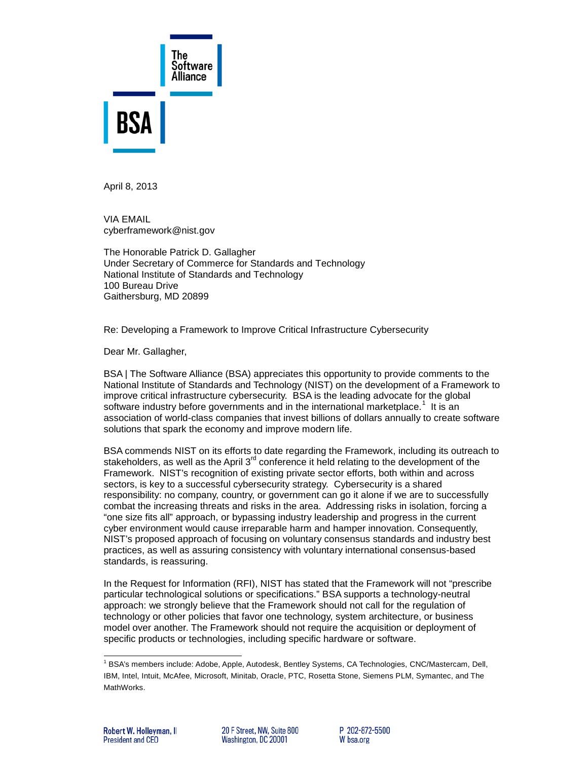

April 8, 2013

VIA EMAIL cyberframework@nist.gov

The Honorable Patrick D. Gallagher Under Secretary of Commerce for Standards and Technology National Institute of Standards and Technology 100 Bureau Drive Gaithersburg, MD 20899

Re: Developing a Framework to Improve Critical Infrastructure Cybersecurity

Dear Mr. Gallagher,

BSA | The Software Alliance (BSA) appreciates this opportunity to provide comments to the National Institute of Standards and Technology (NIST) on the development of a Framework to improve critical infrastructure cybersecurity. BSA is the leading advocate for the global software industry before governments and in the international marketplace.<sup>[1](#page-0-0)</sup> It is an association of world-class companies that invest billions of dollars annually to create software solutions that spark the economy and improve modern life.

BSA commends NIST on its efforts to date regarding the Framework, including its outreach to stakeholders, as well as the April  $3<sup>rd</sup>$  conference it held relating to the development of the Framework. NIST's recognition of existing private sector efforts, both within and across sectors, is key to a successful cybersecurity strategy. Cybersecurity is a shared responsibility: no company, country, or government can go it alone if we are to successfully combat the increasing threats and risks in the area. Addressing risks in isolation, forcing a "one size fits all" approach, or bypassing industry leadership and progress in the current cyber environment would cause irreparable harm and hamper innovation. Consequently, NIST's proposed approach of focusing on voluntary consensus standards and industry best practices, as well as assuring consistency with voluntary international consensus-based standards, is reassuring.

In the Request for Information (RFI), NIST has stated that the Framework will not "prescribe particular technological solutions or specifications." BSA supports a technology-neutral approach: we strongly believe that the Framework should not call for the regulation of technology or other policies that favor one technology, system architecture, or business model over another. The Framework should not require the acquisition or deployment of specific products or technologies, including specific hardware or software.

<span id="page-0-0"></span>j <sup>1</sup> BSA's members include: Adobe, Apple, Autodesk, Bentley Systems, CA Technologies, CNC/Mastercam, Dell, IBM, Intel, Intuit, McAfee, Microsoft, Minitab, Oracle, PTC, Rosetta Stone, Siemens PLM, Symantec, and The MathWorks.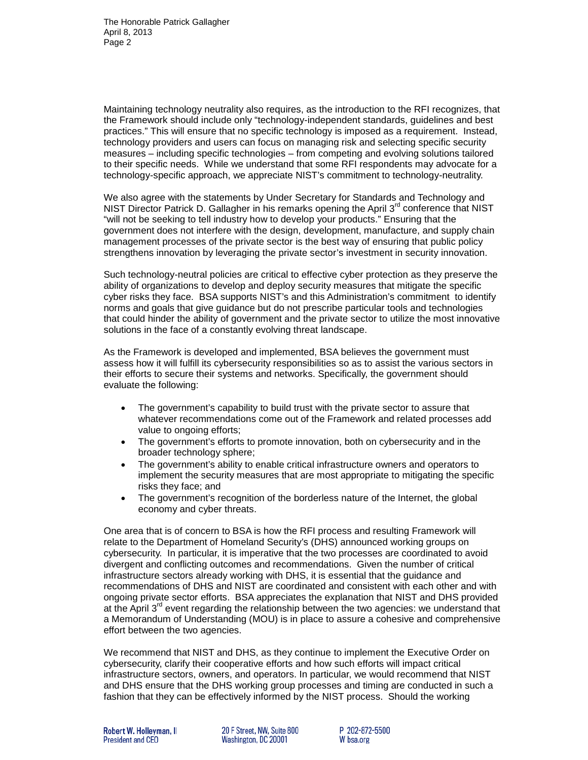Maintaining technology neutrality also requires, as the introduction to the RFI recognizes, that the Framework should include only "technology-independent standards, guidelines and best practices." This will ensure that no specific technology is imposed as a requirement. Instead, technology providers and users can focus on managing risk and selecting specific security measures – including specific technologies – from competing and evolving solutions tailored to their specific needs. While we understand that some RFI respondents may advocate for a technology-specific approach, we appreciate NIST's commitment to technology-neutrality.

We also agree with the statements by Under Secretary for Standards and Technology and NIST Director Patrick D. Gallagher in his remarks opening the April  $3<sup>rd</sup>$  conference that NIST "will not be seeking to tell industry how to develop your products." Ensuring that the government does not interfere with the design, development, manufacture, and supply chain management processes of the private sector is the best way of ensuring that public policy strengthens innovation by leveraging the private sector's investment in security innovation.

Such technology-neutral policies are critical to effective cyber protection as they preserve the ability of organizations to develop and deploy security measures that mitigate the specific cyber risks they face. BSA supports NIST's and this Administration's commitment to identify norms and goals that give guidance but do not prescribe particular tools and technologies that could hinder the ability of government and the private sector to utilize the most innovative solutions in the face of a constantly evolving threat landscape.

As the Framework is developed and implemented, BSA believes the government must assess how it will fulfill its cybersecurity responsibilities so as to assist the various sectors in their efforts to secure their systems and networks. Specifically, the government should evaluate the following:

- The government's capability to build trust with the private sector to assure that whatever recommendations come out of the Framework and related processes add value to ongoing efforts;
- The government's efforts to promote innovation, both on cybersecurity and in the broader technology sphere;
- The government's ability to enable critical infrastructure owners and operators to implement the security measures that are most appropriate to mitigating the specific risks they face; and
- The government's recognition of the borderless nature of the Internet, the global economy and cyber threats.

One area that is of concern to BSA is how the RFI process and resulting Framework will relate to the Department of Homeland Security's (DHS) announced working groups on cybersecurity. In particular, it is imperative that the two processes are coordinated to avoid divergent and conflicting outcomes and recommendations. Given the number of critical infrastructure sectors already working with DHS, it is essential that the guidance and recommendations of DHS and NIST are coordinated and consistent with each other and with ongoing private sector efforts. BSA appreciates the explanation that NIST and DHS provided at the April  $3<sup>rd</sup>$  event regarding the relationship between the two agencies: we understand that a Memorandum of Understanding (MOU) is in place to assure a cohesive and comprehensive effort between the two agencies.

We recommend that NIST and DHS, as they continue to implement the Executive Order on cybersecurity, clarify their cooperative efforts and how such efforts will impact critical infrastructure sectors, owners, and operators. In particular, we would recommend that NIST and DHS ensure that the DHS working group processes and timing are conducted in such a fashion that they can be effectively informed by the NIST process. Should the working

20 F Street. NW. Suite 800 Washington, DC 20001

P 202-872-5500 W bsa.org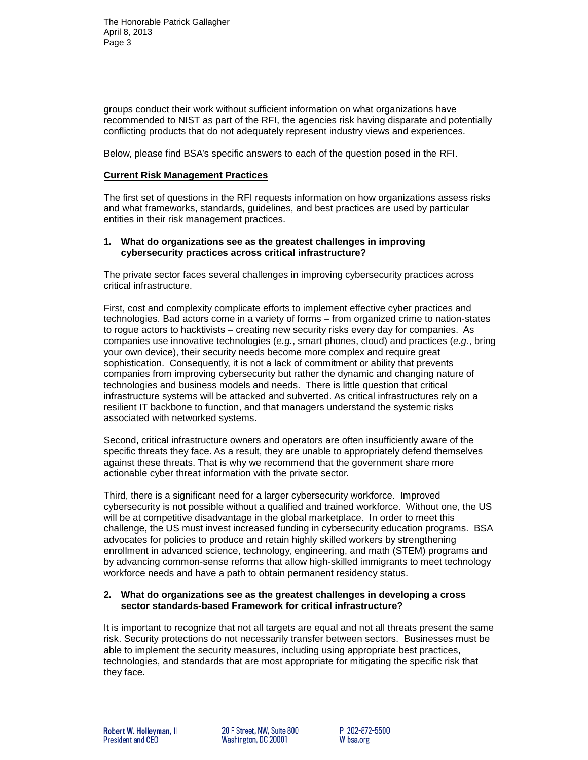groups conduct their work without sufficient information on what organizations have recommended to NIST as part of the RFI, the agencies risk having disparate and potentially conflicting products that do not adequately represent industry views and experiences.

Below, please find BSA's specific answers to each of the question posed in the RFI.

#### **Current Risk Management Practices**

The first set of questions in the RFI requests information on how organizations assess risks and what frameworks, standards, guidelines, and best practices are used by particular entities in their risk management practices.

#### **1. What do organizations see as the greatest challenges in improving cybersecurity practices across critical infrastructure?**

The private sector faces several challenges in improving cybersecurity practices across critical infrastructure.

First, cost and complexity complicate efforts to implement effective cyber practices and technologies. Bad actors come in a variety of forms – from organized crime to nation-states to rogue actors to hacktivists – creating new security risks every day for companies. As companies use innovative technologies (*e.g.*, smart phones, cloud) and practices (*e.g.*, bring your own device), their security needs become more complex and require great sophistication. Consequently, it is not a lack of commitment or ability that prevents companies from improving cybersecurity but rather the dynamic and changing nature of technologies and business models and needs. There is little question that critical infrastructure systems will be attacked and subverted. As critical infrastructures rely on a resilient IT backbone to function, and that managers understand the systemic risks associated with networked systems.

Second, critical infrastructure owners and operators are often insufficiently aware of the specific threats they face. As a result, they are unable to appropriately defend themselves against these threats. That is why we recommend that the government share more actionable cyber threat information with the private sector.

Third, there is a significant need for a larger cybersecurity workforce. Improved cybersecurity is not possible without a qualified and trained workforce. Without one, the US will be at competitive disadvantage in the global marketplace. In order to meet this challenge, the US must invest increased funding in cybersecurity education programs. BSA advocates for policies to produce and retain highly skilled workers by strengthening enrollment in advanced science, technology, engineering, and math (STEM) programs and by advancing common-sense reforms that allow high-skilled immigrants to meet technology workforce needs and have a path to obtain permanent residency status.

### **2. What do organizations see as the greatest challenges in developing a cross sector standards-based Framework for critical infrastructure?**

It is important to recognize that not all targets are equal and not all threats present the same risk. Security protections do not necessarily transfer between sectors. Businesses must be able to implement the security measures, including using appropriate best practices, technologies, and standards that are most appropriate for mitigating the specific risk that they face.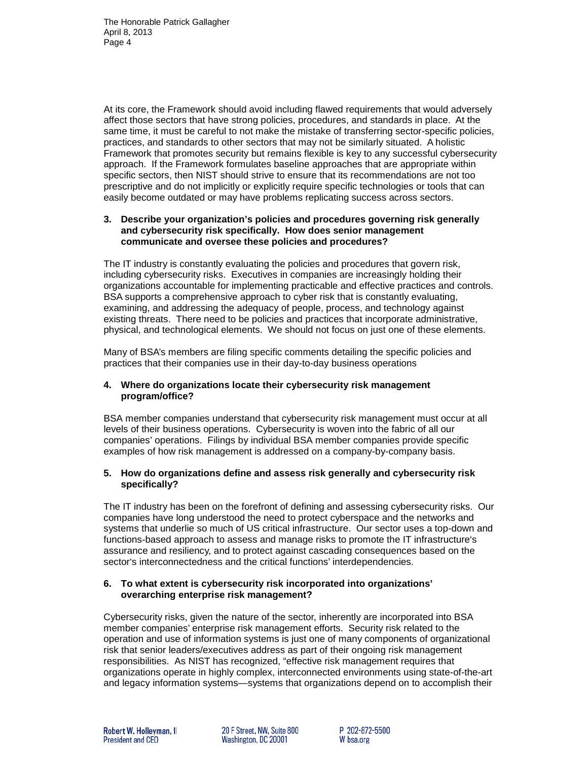At its core, the Framework should avoid including flawed requirements that would adversely affect those sectors that have strong policies, procedures, and standards in place. At the same time, it must be careful to not make the mistake of transferring sector-specific policies, practices, and standards to other sectors that may not be similarly situated. A holistic Framework that promotes security but remains flexible is key to any successful cybersecurity approach. If the Framework formulates baseline approaches that are appropriate within specific sectors, then NIST should strive to ensure that its recommendations are not too prescriptive and do not implicitly or explicitly require specific technologies or tools that can easily become outdated or may have problems replicating success across sectors.

### **3. Describe your organization's policies and procedures governing risk generally and cybersecurity risk specifically. How does senior management communicate and oversee these policies and procedures?**

The IT industry is constantly evaluating the policies and procedures that govern risk, including cybersecurity risks. Executives in companies are increasingly holding their organizations accountable for implementing practicable and effective practices and controls. BSA supports a comprehensive approach to cyber risk that is constantly evaluating, examining, and addressing the adequacy of people, process, and technology against existing threats. There need to be policies and practices that incorporate administrative, physical, and technological elements. We should not focus on just one of these elements.

Many of BSA's members are filing specific comments detailing the specific policies and practices that their companies use in their day-to-day business operations

# **4. Where do organizations locate their cybersecurity risk management program/office?**

BSA member companies understand that cybersecurity risk management must occur at all levels of their business operations. Cybersecurity is woven into the fabric of all our companies' operations. Filings by individual BSA member companies provide specific examples of how risk management is addressed on a company-by-company basis.

# **5. How do organizations define and assess risk generally and cybersecurity risk specifically?**

The IT industry has been on the forefront of defining and assessing cybersecurity risks. Our companies have long understood the need to protect cyberspace and the networks and systems that underlie so much of US critical infrastructure. Our sector uses a top-down and functions-based approach to assess and manage risks to promote the IT infrastructure's assurance and resiliency, and to protect against cascading consequences based on the sector's interconnectedness and the critical functions' interdependencies.

# **6. To what extent is cybersecurity risk incorporated into organizations' overarching enterprise risk management?**

Cybersecurity risks, given the nature of the sector, inherently are incorporated into BSA member companies' enterprise risk management efforts. Security risk related to the operation and use of information systems is just one of many components of organizational risk that senior leaders/executives address as part of their ongoing risk management responsibilities. As NIST has recognized, "effective risk management requires that organizations operate in highly complex, interconnected environments using state-of-the-art and legacy information systems—systems that organizations depend on to accomplish their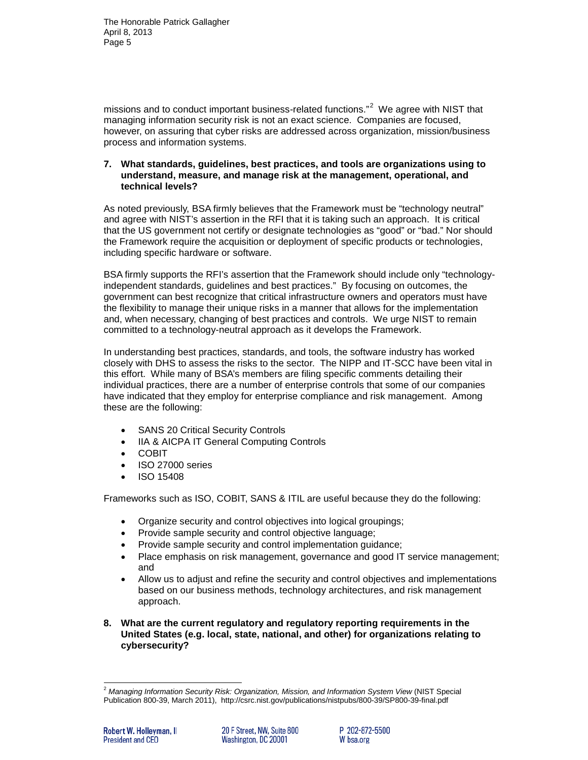missions and to conduct important business-related functions."<sup>[2](#page-4-0)</sup> We agree with NIST that managing information security risk is not an exact science. Companies are focused, however, on assuring that cyber risks are addressed across organization, mission/business process and information systems.

#### **7. What standards, guidelines, best practices, and tools are organizations using to understand, measure, and manage risk at the management, operational, and technical levels?**

As noted previously, BSA firmly believes that the Framework must be "technology neutral" and agree with NIST's assertion in the RFI that it is taking such an approach. It is critical that the US government not certify or designate technologies as "good" or "bad." Nor should the Framework require the acquisition or deployment of specific products or technologies, including specific hardware or software.

BSA firmly supports the RFI's assertion that the Framework should include only "technologyindependent standards, guidelines and best practices." By focusing on outcomes, the government can best recognize that critical infrastructure owners and operators must have the flexibility to manage their unique risks in a manner that allows for the implementation and, when necessary, changing of best practices and controls. We urge NIST to remain committed to a technology-neutral approach as it develops the Framework.

In understanding best practices, standards, and tools, the software industry has worked closely with DHS to assess the risks to the sector. The NIPP and IT-SCC have been vital in this effort. While many of BSA's members are filing specific comments detailing their individual practices, there are a number of enterprise controls that some of our companies have indicated that they employ for enterprise compliance and risk management. Among these are the following:

- SANS 20 Critical Security Controls
- IIA & AICPA IT General Computing Controls
- COBIT
- ISO 27000 series
- ISO 15408

Frameworks such as ISO, COBIT, SANS & ITIL are useful because they do the following:

- Organize security and control objectives into logical groupings;
- Provide sample security and control objective language;
- Provide sample security and control implementation guidance;
- Place emphasis on risk management, governance and good IT service management; and
- Allow us to adjust and refine the security and control objectives and implementations based on our business methods, technology architectures, and risk management approach.
- **8. What are the current regulatory and regulatory reporting requirements in the United States (e.g. local, state, national, and other) for organizations relating to cybersecurity?**

<span id="page-4-0"></span>j <sup>2</sup> *Managing Information Security Risk: Organization, Mission, and Information System View* (NIST Special Publication 800-39, March 2011),<http://csrc.nist.gov/publications/nistpubs/800-39/SP800-39-final.pdf>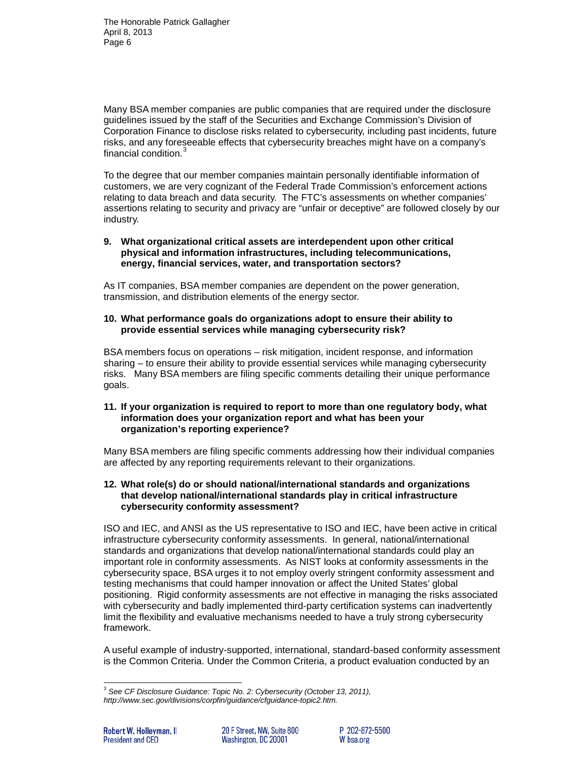The Honorable Patrick Gallagher April 8, 2013 Page 6

Many BSA member companies are public companies that are required under the disclosure guidelines issued by the staff of the Securities and Exchange Commission's Division of Corporation Finance to disclose risks related to cybersecurity, including past incidents, future risks, and any foreseeable effects that cybersecurity breaches might have on a company's financial condition.<sup>[3](#page-5-0)</sup>

To the degree that our member companies maintain personally identifiable information of customers, we are very cognizant of the Federal Trade Commission's enforcement actions relating to data breach and data security. The FTC's assessments on whether companies' assertions relating to security and privacy are "unfair or deceptive" are followed closely by our industry.

## **9. What organizational critical assets are interdependent upon other critical physical and information infrastructures, including telecommunications, energy, financial services, water, and transportation sectors?**

As IT companies, BSA member companies are dependent on the power generation, transmission, and distribution elements of the energy sector.

## **10. What performance goals do organizations adopt to ensure their ability to provide essential services while managing cybersecurity risk?**

BSA members focus on operations – risk mitigation, incident response, and information sharing – to ensure their ability to provide essential services while managing cybersecurity risks. Many BSA members are filing specific comments detailing their unique performance goals.

### **11. If your organization is required to report to more than one regulatory body, what information does your organization report and what has been your organization's reporting experience?**

Many BSA members are filing specific comments addressing how their individual companies are affected by any reporting requirements relevant to their organizations.

### **12. What role(s) do or should national/international standards and organizations that develop national/international standards play in critical infrastructure cybersecurity conformity assessment?**

ISO and IEC, and ANSI as the US representative to ISO and IEC, have been active in critical infrastructure cybersecurity conformity assessments. In general, national/international standards and organizations that develop national/international standards could play an important role in conformity assessments. As NIST looks at conformity assessments in the cybersecurity space, BSA urges it to not employ overly stringent conformity assessment and testing mechanisms that could hamper innovation or affect the United States' global positioning. Rigid conformity assessments are not effective in managing the risks associated with cybersecurity and badly implemented third-party certification systems can inadvertently limit the flexibility and evaluative mechanisms needed to have a truly strong cybersecurity framework.

A useful example of industry-supported, international, standard-based conformity assessment is the Common Criteria. Under the Common Criteria, a product evaluation conducted by an

<span id="page-5-0"></span>j <sup>3</sup> *See CF Disclosure Guidance: Topic No. 2: Cybersecurity (October 13, 2011), http://www.sec.gov/divisions/corpfin/guidance/cfguidance-topic2.htm.*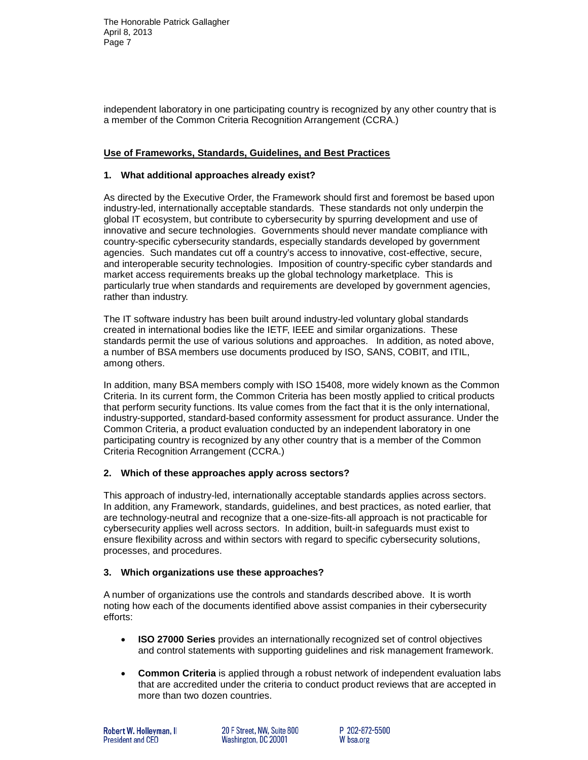independent laboratory in one participating country is recognized by any other country that is a member of the Common Criteria Recognition Arrangement (CCRA.)

# **Use of Frameworks, Standards, Guidelines, and Best Practices**

## **1. What additional approaches already exist?**

As directed by the Executive Order, the Framework should first and foremost be based upon industry-led, internationally acceptable standards. These standards not only underpin the global IT ecosystem, but contribute to cybersecurity by spurring development and use of innovative and secure technologies. Governments should never mandate compliance with country-specific cybersecurity standards, especially standards developed by government agencies. Such mandates cut off a country's access to innovative, cost-effective, secure, and interoperable security technologies. Imposition of country-specific cyber standards and market access requirements breaks up the global technology marketplace. This is particularly true when standards and requirements are developed by government agencies, rather than industry.

The IT software industry has been built around industry-led voluntary global standards created in international bodies like the IETF, IEEE and similar organizations. These standards permit the use of various solutions and approaches. In addition, as noted above, a number of BSA members use documents produced by ISO, SANS, COBIT, and ITIL, among others.

In addition, many BSA members comply with ISO 15408, more widely known as the Common Criteria. In its current form, the Common Criteria has been mostly applied to critical products that perform security functions. Its value comes from the fact that it is the only international, industry-supported, standard-based conformity assessment for product assurance. Under the Common Criteria, a product evaluation conducted by an independent laboratory in one participating country is recognized by any other country that is a member of the Common Criteria Recognition Arrangement (CCRA.)

### **2. Which of these approaches apply across sectors?**

This approach of industry-led, internationally acceptable standards applies across sectors. In addition, any Framework, standards, guidelines, and best practices, as noted earlier, that are technology-neutral and recognize that a one-size-fits-all approach is not practicable for cybersecurity applies well across sectors. In addition, built-in safeguards must exist to ensure flexibility across and within sectors with regard to specific cybersecurity solutions, processes, and procedures.

### **3. Which organizations use these approaches?**

A number of organizations use the controls and standards described above. It is worth noting how each of the documents identified above assist companies in their cybersecurity efforts:

- **ISO 27000 Series** provides an internationally recognized set of control objectives and control statements with supporting guidelines and risk management framework.
- **Common Criteria** is applied through a robust network of independent evaluation labs that are accredited under the criteria to conduct product reviews that are accepted in more than two dozen countries.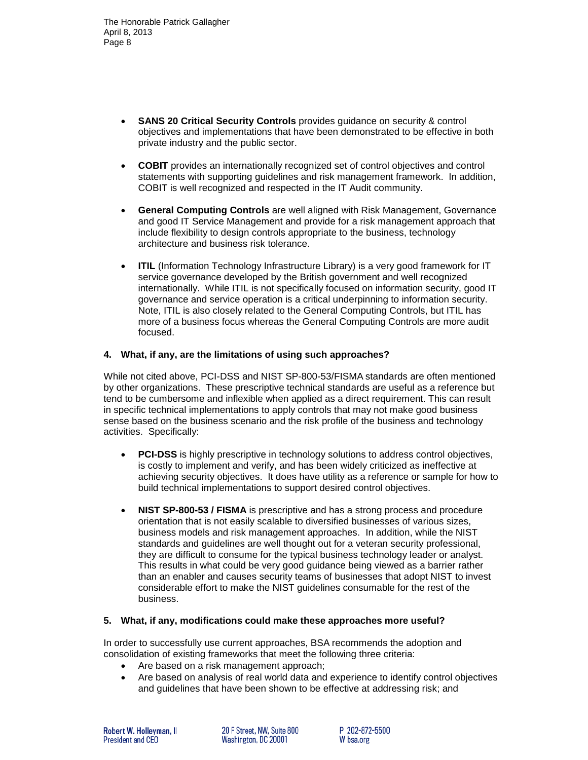- **SANS 20 Critical Security Controls** provides guidance on security & control objectives and implementations that have been demonstrated to be effective in both private industry and the public sector.
- **COBIT** provides an internationally recognized set of control objectives and control statements with supporting guidelines and risk management framework. In addition, COBIT is well recognized and respected in the IT Audit community.
- **General Computing Controls** are well aligned with Risk Management, Governance and good IT Service Management and provide for a risk management approach that include flexibility to design controls appropriate to the business, technology architecture and business risk tolerance.
- **ITIL** (Information Technology Infrastructure Library) is a very good framework for IT service governance developed by the British government and well recognized internationally. While ITIL is not specifically focused on information security, good IT governance and service operation is a critical underpinning to information security. Note, ITIL is also closely related to the General Computing Controls, but ITIL has more of a business focus whereas the General Computing Controls are more audit focused.

### **4. What, if any, are the limitations of using such approaches?**

While not cited above, PCI-DSS and NIST SP-800-53/FISMA standards are often mentioned by other organizations. These prescriptive technical standards are useful as a reference but tend to be cumbersome and inflexible when applied as a direct requirement. This can result in specific technical implementations to apply controls that may not make good business sense based on the business scenario and the risk profile of the business and technology activities. Specifically:

- **PCI-DSS** is highly prescriptive in technology solutions to address control objectives, is costly to implement and verify, and has been widely criticized as ineffective at achieving security objectives. It does have utility as a reference or sample for how to build technical implementations to support desired control objectives.
- **NIST SP-800-53 / FISMA** is prescriptive and has a strong process and procedure orientation that is not easily scalable to diversified businesses of various sizes, business models and risk management approaches. In addition, while the NIST standards and guidelines are well thought out for a veteran security professional, they are difficult to consume for the typical business technology leader or analyst. This results in what could be very good guidance being viewed as a barrier rather than an enabler and causes security teams of businesses that adopt NIST to invest considerable effort to make the NIST guidelines consumable for the rest of the business.

### **5. What, if any, modifications could make these approaches more useful?**

In order to successfully use current approaches, BSA recommends the adoption and consolidation of existing frameworks that meet the following three criteria:

- Are based on a risk management approach;
- Are based on analysis of real world data and experience to identify control objectives and guidelines that have been shown to be effective at addressing risk; and

20 F Street. NW. Suite 800 Washington, DC 20001

P 202-872-5500 W bsa.org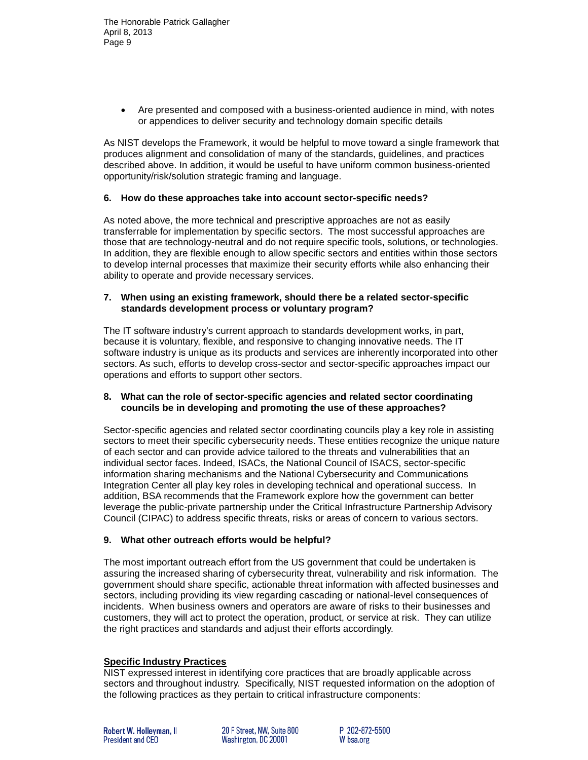• Are presented and composed with a business-oriented audience in mind, with notes or appendices to deliver security and technology domain specific details

As NIST develops the Framework, it would be helpful to move toward a single framework that produces alignment and consolidation of many of the standards, guidelines, and practices described above. In addition, it would be useful to have uniform common business-oriented opportunity/risk/solution strategic framing and language.

### **6. How do these approaches take into account sector-specific needs?**

As noted above, the more technical and prescriptive approaches are not as easily transferrable for implementation by specific sectors. The most successful approaches are those that are technology-neutral and do not require specific tools, solutions, or technologies. In addition, they are flexible enough to allow specific sectors and entities within those sectors to develop internal processes that maximize their security efforts while also enhancing their ability to operate and provide necessary services.

### **7. When using an existing framework, should there be a related sector-specific standards development process or voluntary program?**

The IT software industry's current approach to standards development works, in part, because it is voluntary, flexible, and responsive to changing innovative needs. The IT software industry is unique as its products and services are inherently incorporated into other sectors. As such, efforts to develop cross-sector and sector-specific approaches impact our operations and efforts to support other sectors.

#### **8. What can the role of sector-specific agencies and related sector coordinating councils be in developing and promoting the use of these approaches?**

Sector-specific agencies and related sector coordinating councils play a key role in assisting sectors to meet their specific cybersecurity needs. These entities recognize the unique nature of each sector and can provide advice tailored to the threats and vulnerabilities that an individual sector faces. Indeed, ISACs, the National Council of ISACS, sector-specific information sharing mechanisms and the National Cybersecurity and Communications Integration Center all play key roles in developing technical and operational success. In addition, BSA recommends that the Framework explore how the government can better leverage the public-private partnership under the Critical Infrastructure Partnership Advisory Council (CIPAC) to address specific threats, risks or areas of concern to various sectors.

### **9. What other outreach efforts would be helpful?**

The most important outreach effort from the US government that could be undertaken is assuring the increased sharing of cybersecurity threat, vulnerability and risk information. The government should share specific, actionable threat information with affected businesses and sectors, including providing its view regarding cascading or national-level consequences of incidents. When business owners and operators are aware of risks to their businesses and customers, they will act to protect the operation, product, or service at risk. They can utilize the right practices and standards and adjust their efforts accordingly.

### **Specific Industry Practices**

NIST expressed interest in identifying core practices that are broadly applicable across sectors and throughout industry. Specifically, NIST requested information on the adoption of the following practices as they pertain to critical infrastructure components:

20 F Street. NW. Suite 800 Washington, DC 20001

P 202-872-5500 W bsa.org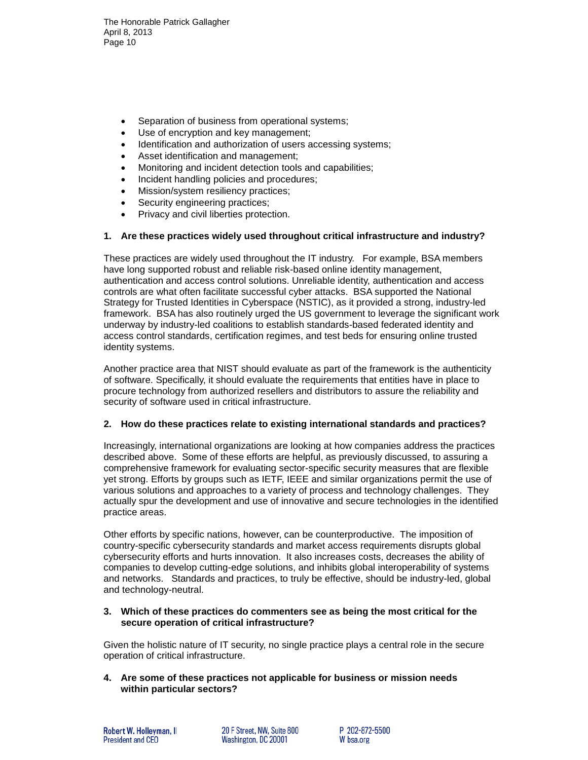The Honorable Patrick Gallagher April 8, 2013 Page 10

- Separation of business from operational systems;
- Use of encryption and key management;
- Identification and authorization of users accessing systems:
- Asset identification and management;
- Monitoring and incident detection tools and capabilities;
- Incident handling policies and procedures;
- Mission/system resiliency practices;
- Security engineering practices:
- Privacy and civil liberties protection.

# **1. Are these practices widely used throughout critical infrastructure and industry?**

These practices are widely used throughout the IT industry. For example, BSA members have long supported robust and reliable risk-based online identity management, authentication and access control solutions. Unreliable identity, authentication and access controls are what often facilitate successful cyber attacks. BSA supported the National Strategy for Trusted Identities in Cyberspace (NSTIC), as it provided a strong, industry-led framework. BSA has also routinely urged the US government to leverage the significant work underway by industry-led coalitions to establish standards-based federated identity and access control standards, certification regimes, and test beds for ensuring online trusted identity systems.

Another practice area that NIST should evaluate as part of the framework is the authenticity of software. Specifically, it should evaluate the requirements that entities have in place to procure technology from authorized resellers and distributors to assure the reliability and security of software used in critical infrastructure.

### **2. How do these practices relate to existing international standards and practices?**

Increasingly, international organizations are looking at how companies address the practices described above. Some of these efforts are helpful, as previously discussed, to assuring a comprehensive framework for evaluating sector-specific security measures that are flexible yet strong. Efforts by groups such as IETF, IEEE and similar organizations permit the use of various solutions and approaches to a variety of process and technology challenges. They actually spur the development and use of innovative and secure technologies in the identified practice areas.

Other efforts by specific nations, however, can be counterproductive. The imposition of country-specific cybersecurity standards and market access requirements disrupts global cybersecurity efforts and hurts innovation. It also increases costs, decreases the ability of companies to develop cutting-edge solutions, and inhibits global interoperability of systems and networks. Standards and practices, to truly be effective, should be industry-led, global and technology-neutral.

# **3. Which of these practices do commenters see as being the most critical for the secure operation of critical infrastructure?**

Given the holistic nature of IT security, no single practice plays a central role in the secure operation of critical infrastructure.

**4. Are some of these practices not applicable for business or mission needs within particular sectors?**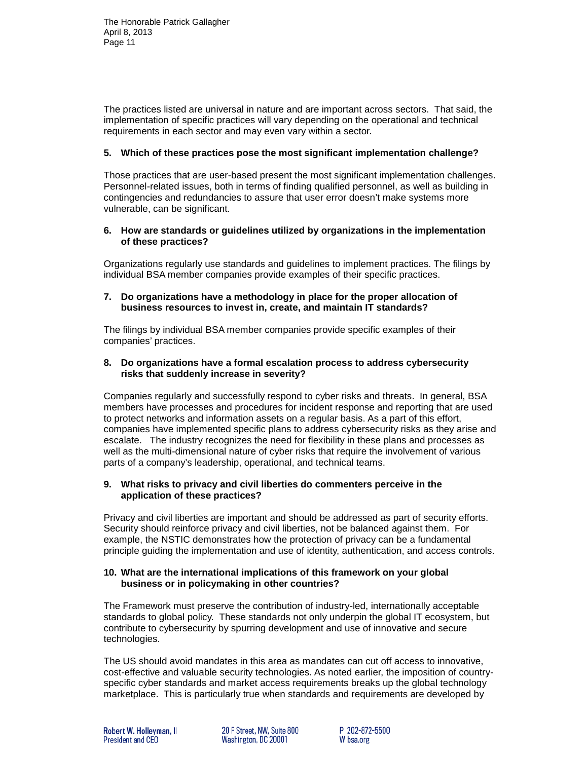The practices listed are universal in nature and are important across sectors. That said, the implementation of specific practices will vary depending on the operational and technical requirements in each sector and may even vary within a sector.

## **5. Which of these practices pose the most significant implementation challenge?**

Those practices that are user-based present the most significant implementation challenges. Personnel-related issues, both in terms of finding qualified personnel, as well as building in contingencies and redundancies to assure that user error doesn't make systems more vulnerable, can be significant.

### **6. How are standards or guidelines utilized by organizations in the implementation of these practices?**

Organizations regularly use standards and guidelines to implement practices. The filings by individual BSA member companies provide examples of their specific practices.

## **7. Do organizations have a methodology in place for the proper allocation of business resources to invest in, create, and maintain IT standards?**

The filings by individual BSA member companies provide specific examples of their companies' practices.

### **8. Do organizations have a formal escalation process to address cybersecurity risks that suddenly increase in severity?**

Companies regularly and successfully respond to cyber risks and threats. In general, BSA members have processes and procedures for incident response and reporting that are used to protect networks and information assets on a regular basis. As a part of this effort, companies have implemented specific plans to address cybersecurity risks as they arise and escalate. The industry recognizes the need for flexibility in these plans and processes as well as the multi-dimensional nature of cyber risks that require the involvement of various parts of a company's leadership, operational, and technical teams.

### **9. What risks to privacy and civil liberties do commenters perceive in the application of these practices?**

Privacy and civil liberties are important and should be addressed as part of security efforts. Security should reinforce privacy and civil liberties, not be balanced against them. For example, the NSTIC demonstrates how the protection of privacy can be a fundamental principle guiding the implementation and use of identity, authentication, and access controls.

# **10. What are the international implications of this framework on your global business or in policymaking in other countries?**

The Framework must preserve the contribution of industry-led, internationally acceptable standards to global policy. These standards not only underpin the global IT ecosystem, but contribute to cybersecurity by spurring development and use of innovative and secure technologies.

The US should avoid mandates in this area as mandates can cut off access to innovative, cost-effective and valuable security technologies. As noted earlier, the imposition of countryspecific cyber standards and market access requirements breaks up the global technology marketplace. This is particularly true when standards and requirements are developed by